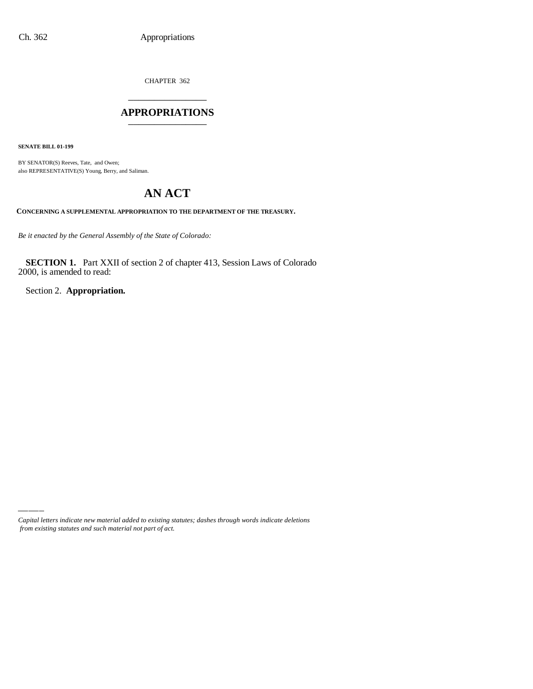CHAPTER 362 \_\_\_\_\_\_\_\_\_\_\_\_\_\_\_

#### **APPROPRIATIONS** \_\_\_\_\_\_\_\_\_\_\_\_\_\_\_

**SENATE BILL 01-199**

BY SENATOR(S) Reeves, Tate, and Owen; also REPRESENTATIVE(S) Young, Berry, and Saliman.

# **AN ACT**

**CONCERNING A SUPPLEMENTAL APPROPRIATION TO THE DEPARTMENT OF THE TREASURY.**

*Be it enacted by the General Assembly of the State of Colorado:*

**SECTION 1.** Part XXII of section 2 of chapter 413, Session Laws of Colorado 2000, is amended to read:

Section 2. **Appropriation.**

*Capital letters indicate new material added to existing statutes; dashes through words indicate deletions from existing statutes and such material not part of act.*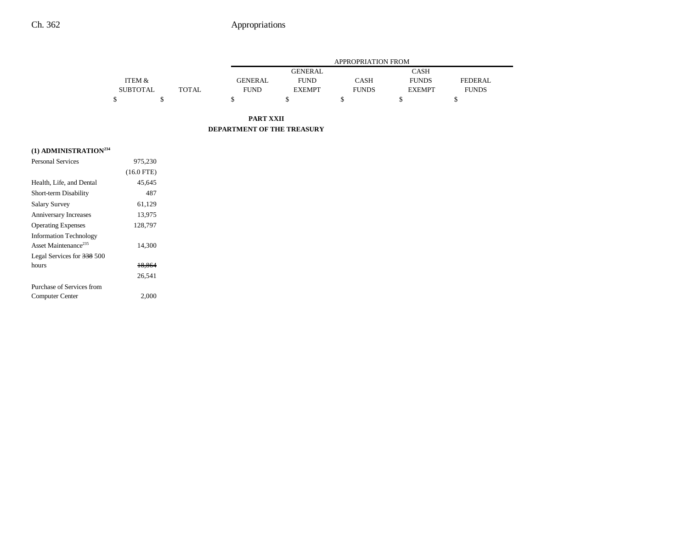## Ch. 362 Appropriations

|                 |              |                | APPROPRIATION FROM |              |               |                |  |
|-----------------|--------------|----------------|--------------------|--------------|---------------|----------------|--|
|                 |              |                | <b>GENERAL</b>     |              | CASH          |                |  |
| ITEM &          |              | <b>GENERAL</b> | <b>FUND</b>        | CASH         | <b>FUNDS</b>  | <b>FEDERAL</b> |  |
| <b>SUBTOTAL</b> | <b>TOTAL</b> | <b>FUND</b>    | <b>EXEMPT</b>      | <b>FUNDS</b> | <b>EXEMPT</b> | <b>FUNDS</b>   |  |
|                 |              |                |                    |              |               |                |  |

**PART XXII DEPARTMENT OF THE TREASURY**

## **(1) ADMINISTRATION234**

| <b>Personal Services</b>                                          | 975,230      |  |
|-------------------------------------------------------------------|--------------|--|
|                                                                   | $(16.0$ FTE) |  |
| Health, Life, and Dental                                          | 45,645       |  |
| Short-term Disability                                             | 487          |  |
| <b>Salary Survey</b>                                              | 61,129       |  |
| Anniversary Increases                                             | 13.975       |  |
| <b>Operating Expenses</b>                                         | 128,797      |  |
| <b>Information Technology</b><br>Asset Maintenance <sup>235</sup> | 14,300       |  |
| Legal Services for 338 500                                        |              |  |
| hours                                                             | 18.864       |  |
|                                                                   | 26.541       |  |
| Purchase of Services from                                         |              |  |
| Computer Center                                                   | 2.000        |  |
|                                                                   |              |  |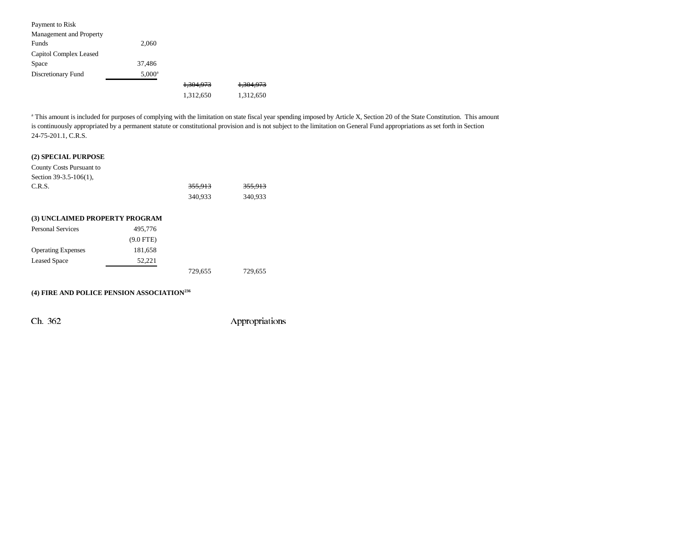| Payment to Risk         |                 |                      |                      |
|-------------------------|-----------------|----------------------|----------------------|
| Management and Property |                 |                      |                      |
| Funds                   | 2,060           |                      |                      |
| Capitol Complex Leased  |                 |                      |                      |
| Space                   | 37.486          |                      |                      |
| Discretionary Fund      | $5,000^{\rm a}$ |                      |                      |
|                         |                 | <del>1,304,973</del> | <del>1,304,973</del> |
|                         |                 | 1,312,650            | 1,312,650            |

<sup>a</sup> This amount is included for purposes of complying with the limitation on state fiscal year spending imposed by Article X, Section 20 of the State Constitution. This amount is continuously appropriated by a permanent statute or constitutional provision and is not subject to the limitation on General Fund appropriations as set forth in Section 24-75-201.1, C.R.S.

## **(2) SPECIAL PURPOSE**

| County Costs Pursuant to       |           |         |                    |
|--------------------------------|-----------|---------|--------------------|
| Section $39-3.5-106(1)$ ,      |           |         |                    |
| C.R.S.                         |           | 355.913 | <del>355.913</del> |
|                                |           | 340,933 | 340,933            |
|                                |           |         |                    |
| (3) UNCLAIMED PROPERTY PROGRAM |           |         |                    |
| <b>Personal Services</b>       | 495,776   |         |                    |
|                                | (9.0 FTE) |         |                    |

| $(9.0$ FTE) |         |         |
|-------------|---------|---------|
| 181,658     |         |         |
| 52.221      |         |         |
|             | 729.655 | 729,655 |
|             |         |         |

## **(4) FIRE AND POLICE PENSION ASSOCIATION236**

Ch. 362 Appropriations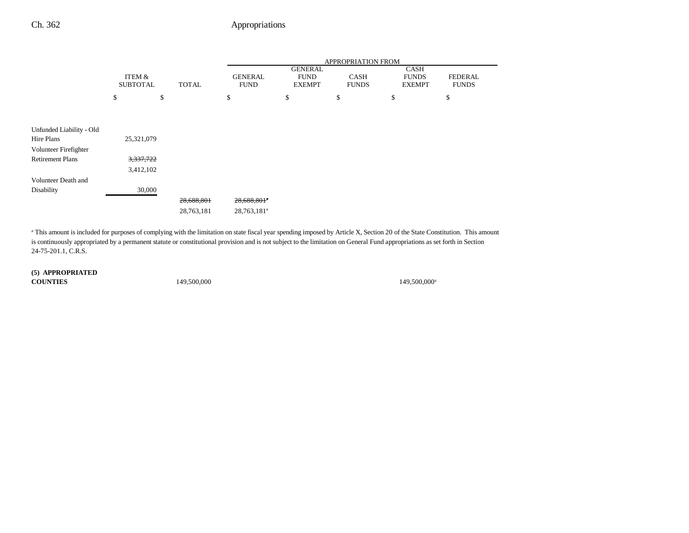## Ch. 362 Appropriations

|                                        |                           |              | <b>APPROPRIATION FROM</b>     |                                                |                             |                                              |                                |
|----------------------------------------|---------------------------|--------------|-------------------------------|------------------------------------------------|-----------------------------|----------------------------------------------|--------------------------------|
|                                        | ITEM &<br><b>SUBTOTAL</b> | <b>TOTAL</b> | <b>GENERAL</b><br><b>FUND</b> | <b>GENERAL</b><br><b>FUND</b><br><b>EXEMPT</b> | <b>CASH</b><br><b>FUNDS</b> | <b>CASH</b><br><b>FUNDS</b><br><b>EXEMPT</b> | <b>FEDERAL</b><br><b>FUNDS</b> |
|                                        | \$                        | \$           | \$                            | \$                                             | \$                          | \$                                           | \$                             |
|                                        |                           |              |                               |                                                |                             |                                              |                                |
|                                        |                           |              |                               |                                                |                             |                                              |                                |
| Unfunded Liability - Old<br>Hire Plans | 25,321,079                |              |                               |                                                |                             |                                              |                                |
| Volunteer Firefighter                  |                           |              |                               |                                                |                             |                                              |                                |
| <b>Retirement Plans</b>                | 3,337,722                 |              |                               |                                                |                             |                                              |                                |
|                                        | 3,412,102                 |              |                               |                                                |                             |                                              |                                |
| Volunteer Death and                    |                           |              |                               |                                                |                             |                                              |                                |
| Disability                             | 30,000                    |              |                               |                                                |                             |                                              |                                |
|                                        |                           | 28,688,801   | 28,688,801*                   |                                                |                             |                                              |                                |
|                                        |                           | 28,763,181   | 28,763,181 <sup>a</sup>       |                                                |                             |                                              |                                |

<sup>a</sup> This amount is included for purposes of complying with the limitation on state fiscal year spending imposed by Article X, Section 20 of the State Constitution. This amount is continuously appropriated by a permanent statute or constitutional provision and is not subject to the limitation on General Fund appropriations as set forth in Section 24-75-201.1, C.R.S.

### **(5) APPROPRIATED**

**COUNTIES**

149,500,000<sup>a</sup> 149,500,000<sup>a</sup>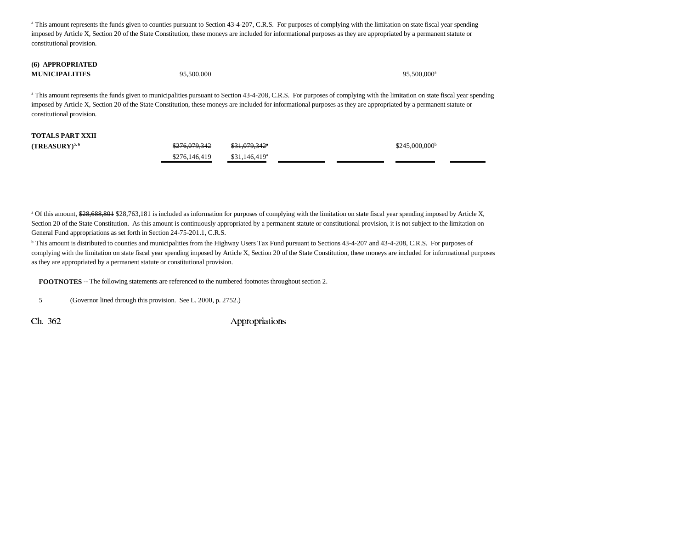<sup>a</sup> This amount represents the funds given to counties pursuant to Section 43-4-207, C.R.S. For purposes of complying with the limitation on state fiscal year spending imposed by Article X, Section 20 of the State Constitution, these moneys are included for informational purposes as they are appropriated by a permanent statute or constitutional provision.

#### **(6) APPROPRIATED MUNICIPALITIES**

 $95,500,000$  95,500,000 95,500,000 95,500,000 95,500,000 95,500,000 95,500,000 95,500,000 95,500,000 95,500,000 95,500,000 95,500,000 95,500,000 95,500,000 95,500,000 95,500,000 95,500,000 95,500,000 95,500,000 95,500,000

<sup>a</sup> This amount represents the funds given to municipalities pursuant to Section 43-4-208, C.R.S. For purposes of complying with the limitation on state fiscal year spending imposed by Article X, Section 20 of the State Constitution, these moneys are included for informational purposes as they are appropriated by a permanent statute or constitutional provision.

# **TOTALS PART XXII**

**(TREASURY)<sup>5,6</sup>** \$276,079,342 \$31,079,342<sup>a</sup> \$31,079,342<sup>a</sup> \$215,000,000<sup>b</sup> \$276,146,419 \$31,146,419<sup>a</sup>

<sup>a</sup> Of this amount, \$28,688,801 \$28,763,181 is included as information for purposes of complying with the limitation on state fiscal year spending imposed by Article X, Section 20 of the State Constitution. As this amount is continuously appropriated by a permanent statute or constitutional provision, it is not subject to the limitation on General Fund appropriations as set forth in Section 24-75-201.1, C.R.S.

<sup>b</sup> This amount is distributed to counties and municipalities from the Highway Users Tax Fund pursuant to Sections 43-4-207 and 43-4-208, C.R.S. For purposes of complying with the limitation on state fiscal year spending imposed by Article X, Section 20 of the State Constitution, these moneys are included for informational purposes as they are appropriated by a permanent statute or constitutional provision.

**FOOTNOTES** -- The following statements are referenced to the numbered footnotes throughout section 2.

5 (Governor lined through this provision. See L. 2000, p. 2752.)

Ch. 362 Appropriations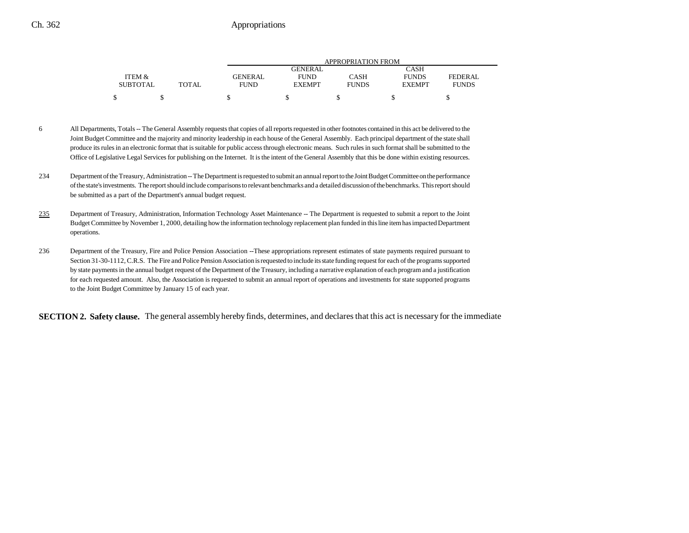## Ch. 362 Appropriations

|                 |       | APPROPRIATION FROM |                |              |               |              |
|-----------------|-------|--------------------|----------------|--------------|---------------|--------------|
|                 |       |                    | <b>GENERAL</b> |              | CASH          |              |
| ITEM &          |       | <b>GENERAL</b>     | <b>FUND</b>    | CASH         | <b>FUNDS</b>  | FEDERAL      |
| <b>SUBTOTAL</b> | TOTAL | <b>FUND</b>        | <b>EXEMPT</b>  | <b>FUNDS</b> | <b>EXEMPT</b> | <b>FUNDS</b> |
| ሖ               |       |                    |                |              |               |              |

- 6 All Departments, Totals -- The General Assembly requests that copies of all reports requested in other footnotes contained in this act be delivered to the Joint Budget Committee and the majority and minority leadership in each house of the General Assembly. Each principal department of the state shall produce its rules in an electronic format that is suitable for public access through electronic means. Such rules in such format shall be submitted to the Office of Legislative Legal Services for publishing on the Internet. It is the intent of the General Assembly that this be done within existing resources.
- 234 Department of the Treasury, Administration -- The Department is requested to submit an annual report to the Joint Budget Committee on the performance of the state's investments. The report should include comparisons to relevant benchmarks and a detailed discussion of the benchmarks. This report should be submitted as a part of the Department's annual budget request.
- 235 Department of Treasury, Administration, Information Technology Asset Maintenance -- The Department is requested to submit a report to the Joint Budget Committee by November 1, 2000, detailing how the information technology replacement plan funded in this line item has impacted Department operations.
- 236 Department of the Treasury, Fire and Police Pension Association --These appropriations represent estimates of state payments required pursuant to Section 31-30-1112, C.R.S. The Fire and Police Pension Association is requested to include its state funding request for each of the programs supported by state payments in the annual budget request of the Department of the Treasury, including a narrative explanation of each program and a justification for each requested amount. Also, the Association is requested to submit an annual report of operations and investments for state supported programs to the Joint Budget Committee by January 15 of each year.

**SECTION 2. Safety clause.** The general assembly hereby finds, determines, and declares that this act is necessary for the immediate